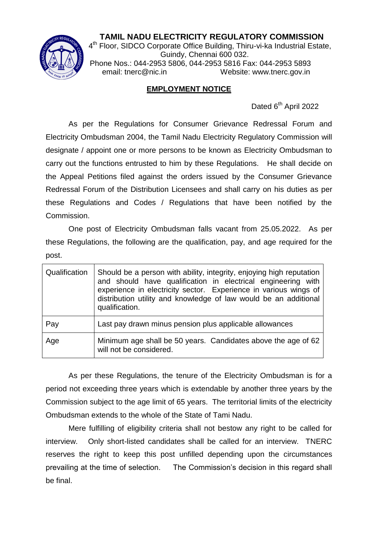## **TAMIL NADU ELECTRICITY REGULATORY COMMISSION**



 $\frac{4^{\text{th}}}{4^{\text{th}}}$  Floor, SIDCO Corporate Office Building, Thiru-vi-ka Industrial Estate, Guindy, Chennai 600 032. Phone Nos.: 044-2953 5806, 044-2953 5816 Fax: 044-2953 5893 email: tnerc@nic.in Website: www.tnerc.gov.in

## **EMPLOYMENT NOTICE**

Dated 6<sup>th</sup> April 2022

As per the Regulations for Consumer Grievance Redressal Forum and Electricity Ombudsman 2004, the Tamil Nadu Electricity Regulatory Commission will designate / appoint one or more persons to be known as Electricity Ombudsman to carry out the functions entrusted to him by these Regulations. He shall decide on the Appeal Petitions filed against the orders issued by the Consumer Grievance Redressal Forum of the Distribution Licensees and shall carry on his duties as per these Regulations and Codes / Regulations that have been notified by the Commission.

One post of Electricity Ombudsman falls vacant from 25.05.2022. As per these Regulations, the following are the qualification, pay, and age required for the post.

| Qualification | Should be a person with ability, integrity, enjoying high reputation<br>and should have qualification in electrical engineering with<br>experience in electricity sector. Experience in various wings of<br>distribution utility and knowledge of law would be an additional<br>qualification. |
|---------------|------------------------------------------------------------------------------------------------------------------------------------------------------------------------------------------------------------------------------------------------------------------------------------------------|
| Pay           | Last pay drawn minus pension plus applicable allowances                                                                                                                                                                                                                                        |
| Age           | Minimum age shall be 50 years. Candidates above the age of 62<br>will not be considered.                                                                                                                                                                                                       |

As per these Regulations, the tenure of the Electricity Ombudsman is for a period not exceeding three years which is extendable by another three years by the Commission subject to the age limit of 65 years. The territorial limits of the electricity Ombudsman extends to the whole of the State of Tami Nadu.

Mere fulfilling of eligibility criteria shall not bestow any right to be called for interview. Only short-listed candidates shall be called for an interview. TNERC reserves the right to keep this post unfilled depending upon the circumstances prevailing at the time of selection. The Commission's decision in this regard shall be final.